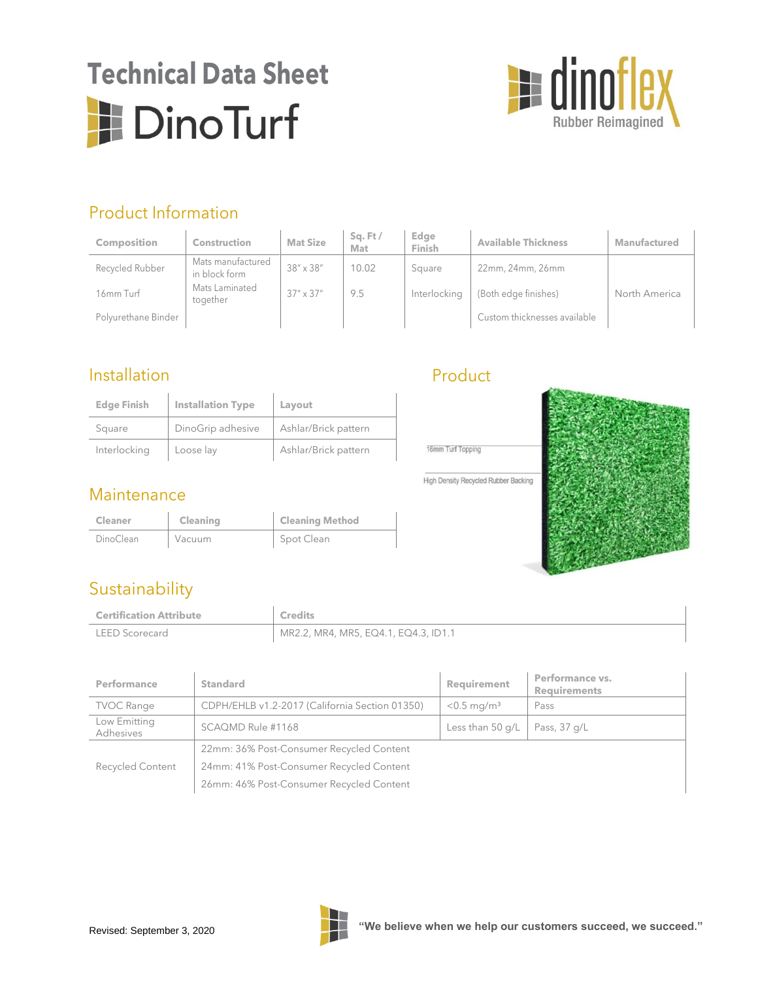## **Technical Data Sheet DinoTurf**



## Product Information

| <b>Composition</b>  | Construction                       | <b>Mat Size</b>    | $Sa$ . Ft $/$<br>Mat | Edge<br>Finish | <b>Available Thickness</b>   | Manufactured  |
|---------------------|------------------------------------|--------------------|----------------------|----------------|------------------------------|---------------|
| Recycled Rubber     | Mats manufactured<br>in block form | $38'' \times 38''$ | 10.02                | Square         | 22mm, 24mm, 26mm             |               |
| 16mm Turf           | Mats Laminated<br>together         | $37'' \times 37''$ | 9.5                  | Interlocking   | (Both edge finishes)         | North America |
| Polyurethane Binder |                                    |                    |                      |                | Custom thicknesses available |               |

#### Installation

| <b>Edge Finish</b> | <b>Installation Type</b> | Layout               |
|--------------------|--------------------------|----------------------|
| Square             | DinoGrip adhesive        | Ashlar/Brick pattern |
| Interlocking       | Loose lay                | Ashlar/Brick pattern |

#### **Maintenance**

| <b>Cleaner</b> | Cleaning | <b>Cleaning Method</b> |
|----------------|----------|------------------------|
| DinoClean      | Vacuum   | Spot Clean             |

### Product



## Sustainability

| <b>Certification Attribute</b> | <b>Credits</b>                       |
|--------------------------------|--------------------------------------|
| <b>LEED Scorecard</b>          | MR2.2, MR4, MR5, EQ4.1, EQ4.3, ID1.1 |

| Performance               | <b>Standard</b>                                | Requirement               | Performance vs.<br><b>Requirements</b> |  |  |
|---------------------------|------------------------------------------------|---------------------------|----------------------------------------|--|--|
| <b>TVOC Range</b>         | CDPH/EHLB v1.2-2017 (California Section 01350) | $< 0.5$ mg/m <sup>3</sup> | Pass                                   |  |  |
| Low Emitting<br>Adhesives | SCAQMD Rule #1168                              | Less than $50$ q/L        | Pass, 37 g/L                           |  |  |
|                           | 22mm: 36% Post-Consumer Recycled Content       |                           |                                        |  |  |
| <b>Recycled Content</b>   | 24mm: 41% Post-Consumer Recycled Content       |                           |                                        |  |  |
|                           | 26mm: 46% Post-Consumer Recycled Content       |                           |                                        |  |  |